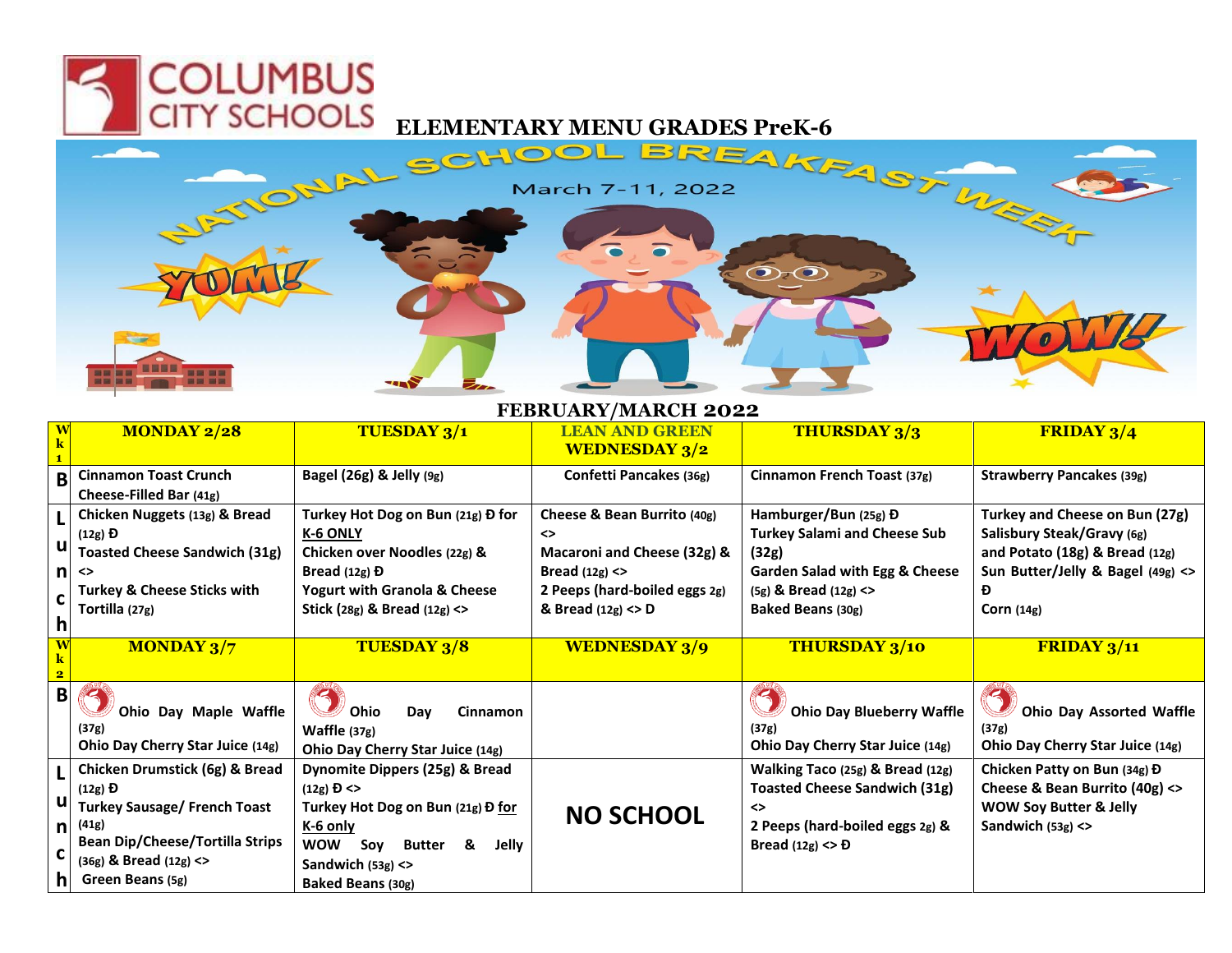**COLUMBUS** 



## **FEBRUARY/MARCH 2022**

| $\overline{\textbf{W}}$ | <b>MONDAY 2/28</b>                                                                                                                                                                                   | <b>TUESDAY 3/1</b>                                                                                                                                                                                       | <b>LEAN AND GREEN</b><br><b>WEDNESDAY 3/2</b>                                                                                                | <b>THURSDAY 3/3</b>                                                                                                                                                  | <b>FRIDAY 3/4</b>                                                                                                                                        |
|-------------------------|------------------------------------------------------------------------------------------------------------------------------------------------------------------------------------------------------|----------------------------------------------------------------------------------------------------------------------------------------------------------------------------------------------------------|----------------------------------------------------------------------------------------------------------------------------------------------|----------------------------------------------------------------------------------------------------------------------------------------------------------------------|----------------------------------------------------------------------------------------------------------------------------------------------------------|
| B                       | <b>Cinnamon Toast Crunch</b><br>Cheese-Filled Bar (41g)                                                                                                                                              | Bagel (26g) & Jelly (9g)                                                                                                                                                                                 | Confetti Pancakes (36g)                                                                                                                      | Cinnamon French Toast (37g)                                                                                                                                          | <b>Strawberry Pancakes (39g)</b>                                                                                                                         |
| n<br>C<br>h             | Chicken Nuggets (13g) & Bread<br>$(12g)$ D<br><b>Toasted Cheese Sandwich (31g)</b><br>$\leftrightarrow$<br><b>Turkey &amp; Cheese Sticks with</b><br>Tortilla (27g)                                  | Turkey Hot Dog on Bun (21g) Đ for<br>K-6 ONLY<br>Chicken over Noodles (22g) &<br>Bread $(12g)$ Đ<br><b>Yogurt with Granola &amp; Cheese</b><br>Stick (28g) & Bread $(12g)$ <>                            | Cheese & Bean Burrito (40g)<br>◇<br>Macaroni and Cheese (32g) &<br>Bread $(12g)$ <><br>2 Peeps (hard-boiled eggs 2g)<br>& Bread $(12g)$ <> D | Hamburger/Bun (25g) Đ<br><b>Turkey Salami and Cheese Sub</b><br>(32g)<br><b>Garden Salad with Egg &amp; Cheese</b><br>$(5g)$ & Bread $(12g)$ <><br>Baked Beans (30g) | Turkey and Cheese on Bun (27g)<br>Salisbury Steak/Gravy (6g)<br>and Potato (18g) & Bread (12g)<br>Sun Butter/Jelly & Bagel (49g) <><br>Ð<br>Corn $(14g)$ |
| $\bf{W}$                | <b>MONDAY 3/7</b>                                                                                                                                                                                    | <b>TUESDAY 3/8</b>                                                                                                                                                                                       | <b>WEDNESDAY 3/9</b>                                                                                                                         | <b>THURSDAY 3/10</b>                                                                                                                                                 | FRIDAY 3/11                                                                                                                                              |
| B                       | Ohio Day Maple Waffle<br>(37g)<br>Ohio Day Cherry Star Juice (14g)                                                                                                                                   | Ohio<br>Day<br><b>Cinnamon</b><br>Waffle (37g)<br>Ohio Day Cherry Star Juice (14g)                                                                                                                       |                                                                                                                                              | <b>Ohio Day Blueberry Waffle</b><br>(37g)<br>Ohio Day Cherry Star Juice (14g)                                                                                        | <b>Ohio Day Assorted Waffle</b><br>(37g)<br>Ohio Day Cherry Star Juice (14g)                                                                             |
| ul<br>nl<br>nı          | Chicken Drumstick (6g) & Bread<br>$(12g)$ $\overline{D}$<br><b>Turkey Sausage/ French Toast</b><br>(41g)<br><b>Bean Dip/Cheese/Tortilla Strips</b><br>$(36g)$ & Bread $(12g)$ <><br>Green Beans (5g) | Dynomite Dippers (25g) & Bread<br>$(12g)$ <b>D</b> <><br>Turkey Hot Dog on Bun (21g) Đ for<br>$K-6$ only<br><b>WOW</b><br><b>Butter</b><br>&<br>Jelly<br>Sov<br>Sandwich $(53g)$ <><br>Baked Beans (30g) | <b>NO SCHOOL</b>                                                                                                                             | Walking Taco (25g) & Bread (12g)<br><b>Toasted Cheese Sandwich (31g)</b><br>◇<br>2 Peeps (hard-boiled eggs 2g) &<br>Bread $(12g)$ <> Đ                               | Chicken Patty on Bun (34g) Đ<br>Cheese & Bean Burrito (40g) <><br><b>WOW Soy Butter &amp; Jelly</b><br>Sandwich $(53g)$ <>                               |